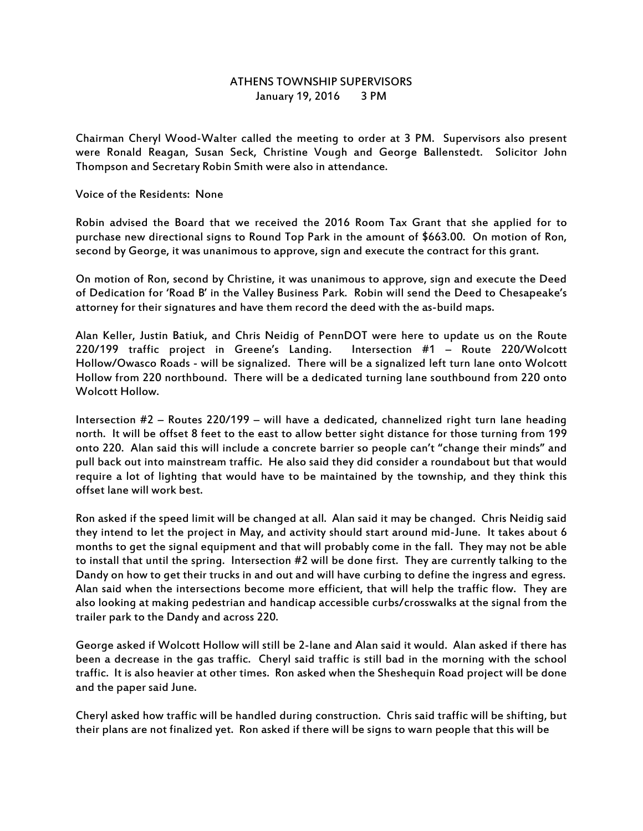## ATHENS TOWNSHIP SUPERVISORS January 19, 2016 3 PM

Chairman Cheryl Wood-Walter called the meeting to order at 3 PM. Supervisors also present were Ronald Reagan, Susan Seck, Christine Vough and George Ballenstedt. Solicitor John Thompson and Secretary Robin Smith were also in attendance.

Voice of the Residents: None

Robin advised the Board that we received the 2016 Room Tax Grant that she applied for to purchase new directional signs to Round Top Park in the amount of \$663.00. On motion of Ron, second by George, it was unanimous to approve, sign and execute the contract for this grant.

On motion of Ron, second by Christine, it was unanimous to approve, sign and execute the Deed of Dedication for 'Road B' in the Valley Business Park. Robin will send the Deed to Chesapeake's attorney for their signatures and have them record the deed with the as-build maps.

Alan Keller, Justin Batiuk, and Chris Neidig of PennDOT were here to update us on the Route 220/199 traffic project in Greene's Landing. Intersection #1 – Route 220/Wolcott Hollow/Owasco Roads - will be signalized. There will be a signalized left turn lane onto Wolcott Hollow from 220 northbound. There will be a dedicated turning lane southbound from 220 onto Wolcott Hollow.

Intersection #2 – Routes 220/199 – will have a dedicated, channelized right turn lane heading north. It will be offset 8 feet to the east to allow better sight distance for those turning from 199 onto 220. Alan said this will include a concrete barrier so people can't "change their minds" and pull back out into mainstream traffic. He also said they did consider a roundabout but that would require a lot of lighting that would have to be maintained by the township, and they think this offset lane will work best.

Ron asked if the speed limit will be changed at all. Alan said it may be changed. Chris Neidig said they intend to let the project in May, and activity should start around mid-June. It takes about 6 months to get the signal equipment and that will probably come in the fall. They may not be able to install that until the spring. Intersection #2 will be done first. They are currently talking to the Dandy on how to get their trucks in and out and will have curbing to define the ingress and egress. Alan said when the intersections become more efficient, that will help the traffic flow. They are also looking at making pedestrian and handicap accessible curbs/crosswalks at the signal from the trailer park to the Dandy and across 220.

George asked if Wolcott Hollow will still be 2-lane and Alan said it would. Alan asked if there has been a decrease in the gas traffic. Cheryl said traffic is still bad in the morning with the school traffic. It is also heavier at other times. Ron asked when the Sheshequin Road project will be done and the paper said June.

Cheryl asked how traffic will be handled during construction. Chris said traffic will be shifting, but their plans are not finalized yet. Ron asked if there will be signs to warn people that this will be